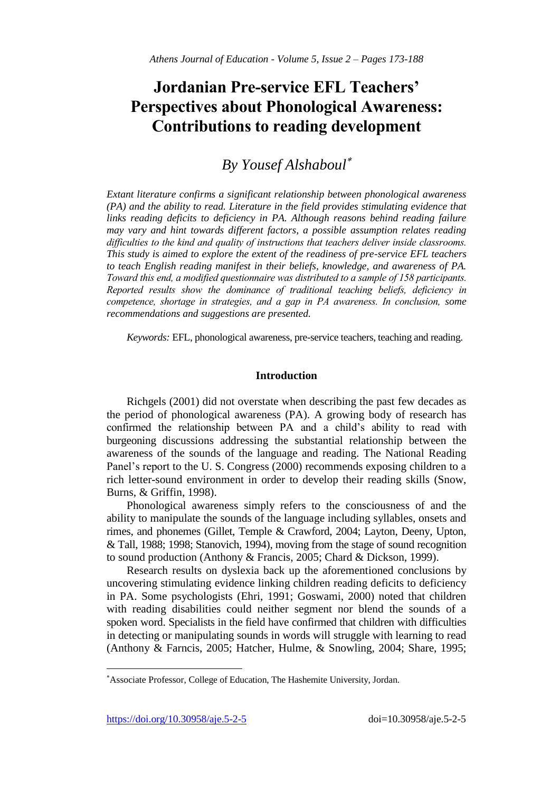# **Jordanian Pre-service EFL Teachers' Perspectives about Phonological Awareness: Contributions to reading development**

# *By Yousef Alshaboul*

*Extant literature confirms a significant relationship between phonological awareness (PA) and the ability to read. Literature in the field provides stimulating evidence that links reading deficits to deficiency in PA. Although reasons behind reading failure may vary and hint towards different factors, a possible assumption relates reading difficulties to the kind and quality of instructions that teachers deliver inside classrooms. This study is aimed to explore the extent of the readiness of pre-service EFL teachers to teach English reading manifest in their beliefs, knowledge, and awareness of PA. Toward this end, a modified questionnaire was distributed to a sample of 158 participants. Reported results show the dominance of traditional teaching beliefs, deficiency in competence, shortage in strategies, and a gap in PA awareness. In conclusion, some recommendations and suggestions are presented.*

*Keywords:* EFL, phonological awareness, pre-service teachers, teaching and reading.

# **Introduction**

Richgels (2001) did not overstate when describing the past few decades as the period of phonological awareness (PA). A growing body of research has confirmed the relationship between PA and a child's ability to read with burgeoning discussions addressing the substantial relationship between the awareness of the sounds of the language and reading. The National Reading Panel's report to the U. S. Congress (2000) recommends exposing children to a rich letter-sound environment in order to develop their reading skills (Snow, Burns, & Griffin, 1998).

Phonological awareness simply refers to the consciousness of and the ability to manipulate the sounds of the language including syllables, onsets and rimes, and phonemes (Gillet, Temple & Crawford, 2004; Layton, Deeny, Upton, & Tall, 1988; 1998; Stanovich, 1994), moving from the stage of sound recognition to sound production (Anthony & Francis, 2005; Chard & Dickson, 1999).

Research results on dyslexia back up the aforementioned conclusions by uncovering stimulating evidence linking children reading deficits to deficiency in PA. Some psychologists (Ehri, 1991; Goswami, 2000) noted that children with reading disabilities could neither segment nor blend the sounds of a spoken word. Specialists in the field have confirmed that children with difficulties in detecting or manipulating sounds in words will struggle with learning to read (Anthony & Farncis, 2005; Hatcher, Hulme, & Snowling, 2004; Share, 1995;

https://doi.org/10.30958/aje.5-2-5 doi=10.30958/aje.5-2-5

l

Associate Professor, College of Education, The Hashemite University, Jordan.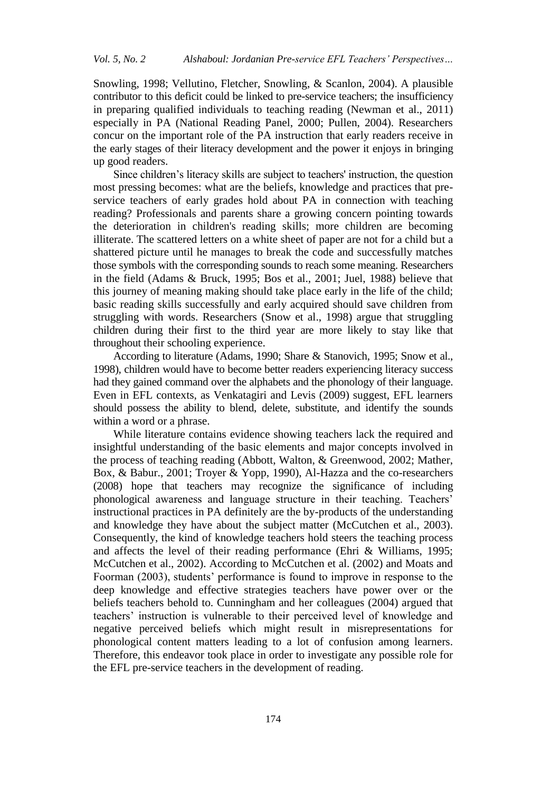Snowling, 1998; Vellutino, Fletcher, Snowling, & Scanlon, 2004). A plausible contributor to this deficit could be linked to pre-service teachers; the insufficiency in preparing qualified individuals to teaching reading (Newman et al., 2011) especially in PA (National Reading Panel, 2000; Pullen, 2004). Researchers concur on the important role of the PA instruction that early readers receive in the early stages of their literacy development and the power it enjoys in bringing up good readers.

Since children's literacy skills are subject to teachers' instruction, the question most pressing becomes: what are the beliefs, knowledge and practices that preservice teachers of early grades hold about PA in connection with teaching reading? Professionals and parents share a growing concern pointing towards the deterioration in children's reading skills; more children are becoming illiterate. The scattered letters on a white sheet of paper are not for a child but a shattered picture until he manages to break the code and successfully matches those symbols with the corresponding sounds to reach some meaning. Researchers in the field (Adams & Bruck, 1995; Bos et al., 2001; Juel, 1988) believe that this journey of meaning making should take place early in the life of the child; basic reading skills successfully and early acquired should save children from struggling with words. Researchers (Snow et al., 1998) argue that struggling children during their first to the third year are more likely to stay like that throughout their schooling experience.

According to literature (Adams, 1990; Share & Stanovich, 1995; Snow et al., 1998), children would have to become better readers experiencing literacy success had they gained command over the alphabets and the phonology of their language. Even in EFL contexts, as Venkatagiri and Levis (2009) suggest, EFL learners should possess the ability to blend, delete, substitute, and identify the sounds within a word or a phrase.

While literature contains evidence showing teachers lack the required and insightful understanding of the basic elements and major concepts involved in the process of teaching reading (Abbott, Walton, & Greenwood, 2002; Mather, Box, & Babur., 2001; Troyer & Yopp, 1990), Al-Hazza and the co-researchers (2008) hope that teachers may recognize the significance of including phonological awareness and language structure in their teaching. Teachers' instructional practices in PA definitely are the by-products of the understanding and knowledge they have about the subject matter (McCutchen et al., 2003). Consequently, the kind of knowledge teachers hold steers the teaching process and affects the level of their reading performance (Ehri & Williams, 1995; McCutchen et al., 2002). According to McCutchen et al. (2002) and Moats and Foorman (2003), students' performance is found to improve in response to the deep knowledge and effective strategies teachers have power over or the beliefs teachers behold to. Cunningham and her colleagues (2004) argued that teachers' instruction is vulnerable to their perceived level of knowledge and negative perceived beliefs which might result in misrepresentations for phonological content matters leading to a lot of confusion among learners. Therefore, this endeavor took place in order to investigate any possible role for the EFL pre-service teachers in the development of reading.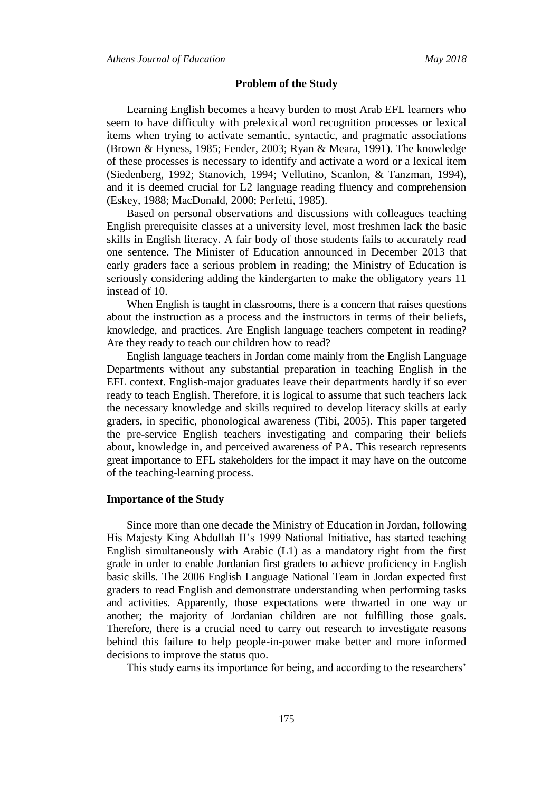#### **Problem of the Study**

Learning English becomes a heavy burden to most Arab EFL learners who seem to have difficulty with prelexical word recognition processes or lexical items when trying to activate semantic, syntactic, and pragmatic associations (Brown & Hyness, 1985; Fender, 2003; Ryan & Meara, 1991). The knowledge of these processes is necessary to identify and activate a word or a lexical item (Siedenberg, 1992; Stanovich, 1994; Vellutino, Scanlon, & Tanzman, 1994), and it is deemed crucial for L2 language reading fluency and comprehension (Eskey, 1988; MacDonald, 2000; Perfetti, 1985).

Based on personal observations and discussions with colleagues teaching English prerequisite classes at a university level, most freshmen lack the basic skills in English literacy. A fair body of those students fails to accurately read one sentence. The Minister of Education announced in December 2013 that early graders face a serious problem in reading; the Ministry of Education is seriously considering adding the kindergarten to make the obligatory years 11 instead of 10.

When English is taught in classrooms, there is a concern that raises questions about the instruction as a process and the instructors in terms of their beliefs, knowledge, and practices. Are English language teachers competent in reading? Are they ready to teach our children how to read?

English language teachers in Jordan come mainly from the English Language Departments without any substantial preparation in teaching English in the EFL context. English-major graduates leave their departments hardly if so ever ready to teach English. Therefore, it is logical to assume that such teachers lack the necessary knowledge and skills required to develop literacy skills at early graders, in specific, phonological awareness (Tibi, 2005). This paper targeted the pre-service English teachers investigating and comparing their beliefs about, knowledge in, and perceived awareness of PA. This research represents great importance to EFL stakeholders for the impact it may have on the outcome of the teaching-learning process.

# **Importance of the Study**

Since more than one decade the Ministry of Education in Jordan, following His Majesty King Abdullah II's 1999 National Initiative, has started teaching English simultaneously with Arabic (L1) as a mandatory right from the first grade in order to enable Jordanian first graders to achieve proficiency in English basic skills. The 2006 English Language National Team in Jordan expected first graders to read English and demonstrate understanding when performing tasks and activities. Apparently, those expectations were thwarted in one way or another; the majority of Jordanian children are not fulfilling those goals. Therefore, there is a crucial need to carry out research to investigate reasons behind this failure to help people-in-power make better and more informed decisions to improve the status quo.

This study earns its importance for being, and according to the researchers'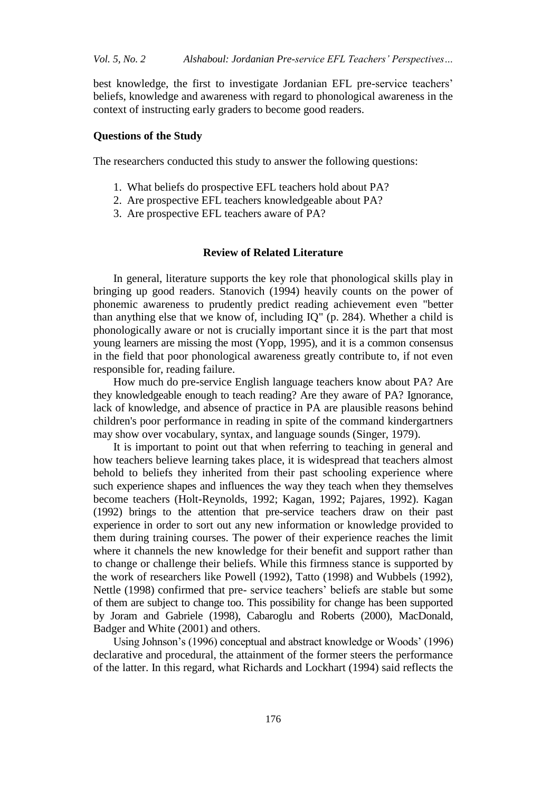best knowledge, the first to investigate Jordanian EFL pre-service teachers' beliefs, knowledge and awareness with regard to phonological awareness in the context of instructing early graders to become good readers.

## **Questions of the Study**

The researchers conducted this study to answer the following questions:

- 1. What beliefs do prospective EFL teachers hold about PA?
- 2. Are prospective EFL teachers knowledgeable about PA?
- 3. Are prospective EFL teachers aware of PA?

#### **Review of Related Literature**

In general, literature supports the key role that phonological skills play in bringing up good readers. Stanovich (1994) heavily counts on the power of phonemic awareness to prudently predict reading achievement even "better than anything else that we know of, including IQ" (p. 284). Whether a child is phonologically aware or not is crucially important since it is the part that most young learners are missing the most (Yopp, 1995), and it is a common consensus in the field that poor phonological awareness greatly contribute to, if not even responsible for, reading failure.

How much do pre-service English language teachers know about PA? Are they knowledgeable enough to teach reading? Are they aware of PA? Ignorance, lack of knowledge, and absence of practice in PA are plausible reasons behind children's poor performance in reading in spite of the command kindergartners may show over vocabulary, syntax, and language sounds (Singer, 1979).

It is important to point out that when referring to teaching in general and how teachers believe learning takes place, it is widespread that teachers almost behold to beliefs they inherited from their past schooling experience where such experience shapes and influences the way they teach when they themselves become teachers (Holt-Reynolds, 1992; Kagan, 1992; Pajares, 1992). Kagan (1992) brings to the attention that pre-service teachers draw on their past experience in order to sort out any new information or knowledge provided to them during training courses. The power of their experience reaches the limit where it channels the new knowledge for their benefit and support rather than to change or challenge their beliefs. While this firmness stance is supported by the work of researchers like Powell (1992), Tatto (1998) and Wubbels (1992), Nettle (1998) confirmed that pre- service teachers' beliefs are stable but some of them are subject to change too. This possibility for change has been supported by Joram and Gabriele (1998), Cabaroglu and Roberts (2000), MacDonald, Badger and White (2001) and others.

Using Johnson's (1996) conceptual and abstract knowledge or Woods' (1996) declarative and procedural, the attainment of the former steers the performance of the latter. In this regard, what Richards and Lockhart (1994) said reflects the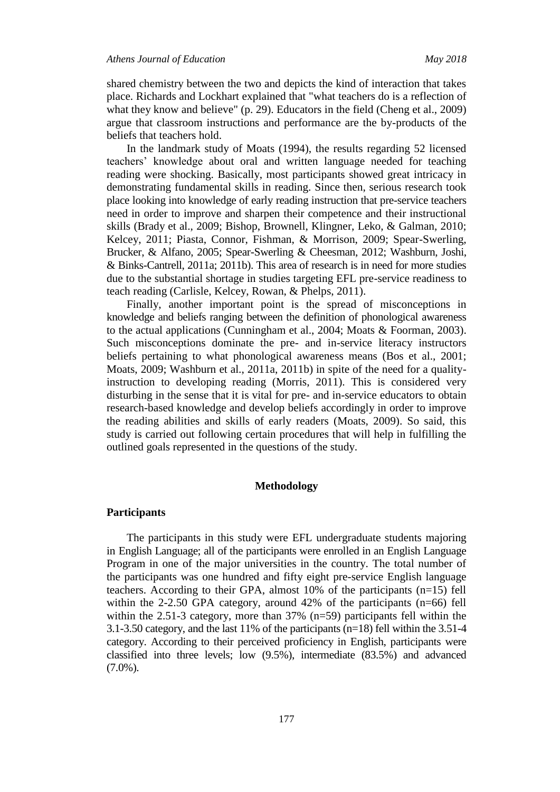shared chemistry between the two and depicts the kind of interaction that takes place. Richards and Lockhart explained that "what teachers do is a reflection of what they know and believe" (p. 29). Educators in the field (Cheng et al., 2009) argue that classroom instructions and performance are the by-products of the beliefs that teachers hold.

In the landmark study of Moats (1994), the results regarding 52 licensed teachers' knowledge about oral and written language needed for teaching reading were shocking. Basically, most participants showed great intricacy in demonstrating fundamental skills in reading. Since then, serious research took place looking into knowledge of early reading instruction that pre-service teachers need in order to improve and sharpen their competence and their instructional skills (Brady et al., 2009; Bishop, Brownell, Klingner, Leko, & Galman, 2010; Kelcey, 2011; Piasta, Connor, Fishman, & Morrison, 2009; Spear-Swerling, Brucker, & Alfano, 2005; Spear-Swerling & Cheesman, 2012; Washburn, Joshi, & Binks-Cantrell, 2011a; 2011b). This area of research is in need for more studies due to the substantial shortage in studies targeting EFL pre-service readiness to teach reading (Carlisle, Kelcey, Rowan, & Phelps, 2011).

Finally, another important point is the spread of misconceptions in knowledge and beliefs ranging between the definition of phonological awareness to the actual applications (Cunningham et al., 2004; Moats & Foorman, 2003). Such misconceptions dominate the pre- and in-service literacy instructors beliefs pertaining to what phonological awareness means (Bos et al., 2001; Moats, 2009; Washburn et al., 2011a, 2011b) in spite of the need for a qualityinstruction to developing reading (Morris, 2011). This is considered very disturbing in the sense that it is vital for pre- and in-service educators to obtain research-based knowledge and develop beliefs accordingly in order to improve the reading abilities and skills of early readers (Moats, 2009). So said, this study is carried out following certain procedures that will help in fulfilling the outlined goals represented in the questions of the study.

#### **Methodology**

# **Participants**

The participants in this study were EFL undergraduate students majoring in English Language; all of the participants were enrolled in an English Language Program in one of the major universities in the country. The total number of the participants was one hundred and fifty eight pre-service English language teachers. According to their GPA, almost 10% of the participants (n=15) fell within the 2-2.50 GPA category, around  $42\%$  of the participants (n=66) fell within the 2.51-3 category, more than 37% (n=59) participants fell within the 3.1-3.50 category, and the last 11% of the participants (n=18) fell within the 3.51-4 category. According to their perceived proficiency in English, participants were classified into three levels; low (9.5%), intermediate (83.5%) and advanced (7.0%).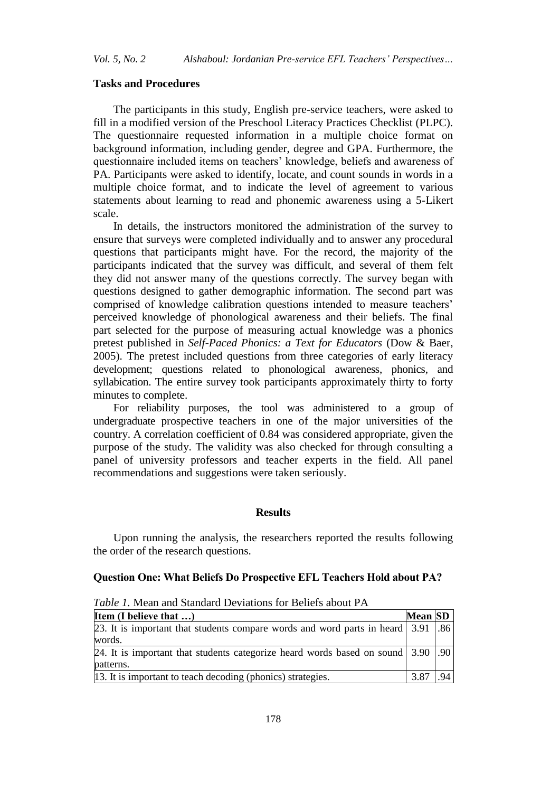#### **Tasks and Procedures**

The participants in this study, English pre-service teachers, were asked to fill in a modified version of the Preschool Literacy Practices Checklist (PLPC). The questionnaire requested information in a multiple choice format on background information, including gender, degree and GPA. Furthermore, the questionnaire included items on teachers' knowledge, beliefs and awareness of PA. Participants were asked to identify, locate, and count sounds in words in a multiple choice format, and to indicate the level of agreement to various statements about learning to read and phonemic awareness using a 5-Likert scale.

In details, the instructors monitored the administration of the survey to ensure that surveys were completed individually and to answer any procedural questions that participants might have. For the record, the majority of the participants indicated that the survey was difficult, and several of them felt they did not answer many of the questions correctly. The survey began with questions designed to gather demographic information. The second part was comprised of knowledge calibration questions intended to measure teachers' perceived knowledge of phonological awareness and their beliefs. The final part selected for the purpose of measuring actual knowledge was a phonics pretest published in *Self-Paced Phonics: a Text for Educators* (Dow & Baer, 2005). The pretest included questions from three categories of early literacy development; questions related to phonological awareness, phonics, and syllabication. The entire survey took participants approximately thirty to forty minutes to complete.

For reliability purposes, the tool was administered to a group of undergraduate prospective teachers in one of the major universities of the country. A correlation coefficient of 0.84 was considered appropriate, given the purpose of the study. The validity was also checked for through consulting a panel of university professors and teacher experts in the field. All panel recommendations and suggestions were taken seriously.

## **Results**

Upon running the analysis, the researchers reported the results following the order of the research questions.

#### **Question One: What Beliefs Do Prospective EFL Teachers Hold about PA?**

*Table 1.* Mean and Standard Deviations for Beliefs about PA

| <b>Item (I believe that )</b>                                                        | Mean $ SD $ |      |
|--------------------------------------------------------------------------------------|-------------|------|
| [23. It is important that students compare words and word parts in heard 3.91   .86] |             |      |
| words.                                                                               |             |      |
| 24. It is important that students categorize heard words based on sound $ 3.90 $ .   |             |      |
| patterns.                                                                            |             |      |
| 13. It is important to teach decoding (phonics) strategies.                          | 3.87        | 94 I |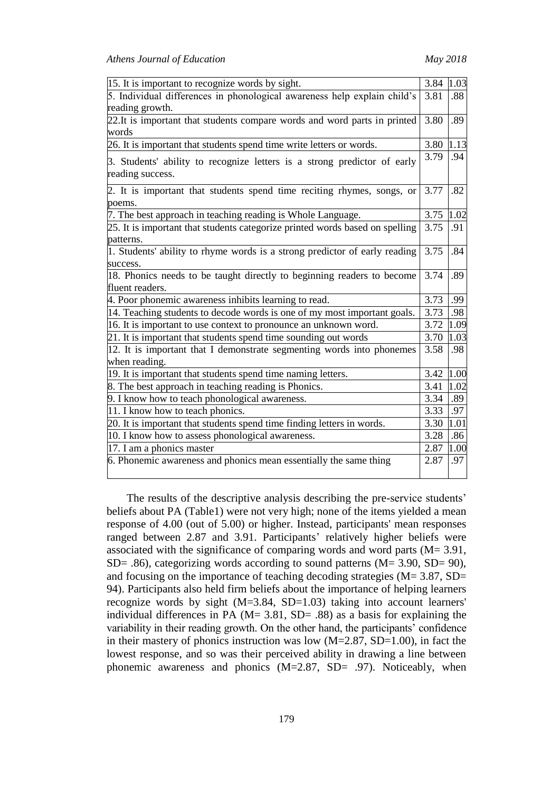| 15. It is important to recognize words by sight.                                             | 3.84 | 1.03 |
|----------------------------------------------------------------------------------------------|------|------|
| 5. Individual differences in phonological awareness help explain child's                     |      |      |
| reading growth.                                                                              |      |      |
| 22. It is important that students compare words and word parts in printed                    | 3.80 | .89  |
| words                                                                                        |      |      |
| 26. It is important that students spend time write letters or words.                         | 3.80 | 1.13 |
| 3. Students' ability to recognize letters is a strong predictor of early<br>reading success. | 3.79 | .94  |
| 2. It is important that students spend time reciting rhymes, songs, or                       | 3.77 | .82  |
| poems.                                                                                       |      |      |
| 7. The best approach in teaching reading is Whole Language.                                  | 3.75 | 1.02 |
| 25. It is important that students categorize printed words based on spelling                 | 3.75 | .91  |
| patterns.                                                                                    |      |      |
| 1. Students' ability to rhyme words is a strong predictor of early reading                   | 3.75 | .84  |
| success.                                                                                     |      |      |
| 18. Phonics needs to be taught directly to beginning readers to become                       | 3.74 | .89  |
| fluent readers.                                                                              |      |      |
| 4. Poor phonemic awareness inhibits learning to read.                                        | 3.73 | .99  |
| 14. Teaching students to decode words is one of my most important goals.                     | 3.73 | .98  |
| 16. It is important to use context to pronounce an unknown word.                             | 3.72 | 1.09 |
| 21. It is important that students spend time sounding out words                              | 3.70 | 1.03 |
| 12. It is important that I demonstrate segmenting words into phonemes                        | 3.58 | .98  |
| when reading.                                                                                |      |      |
| 19. It is important that students spend time naming letters.                                 | 3.42 | 1.00 |
| 8. The best approach in teaching reading is Phonics.                                         | 3.41 | 1.02 |
| 9. I know how to teach phonological awareness.                                               | 3.34 | .89  |
| 11. I know how to teach phonics.                                                             | 3.33 | .97  |
| 20. It is important that students spend time finding letters in words.                       | 3.30 | 1.01 |
| 10. I know how to assess phonological awareness.                                             | 3.28 | .86  |
| 17. I am a phonics master                                                                    | 2.87 | 1.00 |
| 6. Phonemic awareness and phonics mean essentially the same thing                            | 2.87 | .97  |

The results of the descriptive analysis describing the pre-service students' beliefs about PA (Table1) were not very high; none of the items yielded a mean response of 4.00 (out of 5.00) or higher. Instead, participants' mean responses ranged between 2.87 and 3.91. Participants' relatively higher beliefs were associated with the significance of comparing words and word parts (M= 3.91,  $SD = .86$ ), categorizing words according to sound patterns (M= 3.90, SD= 90), and focusing on the importance of teaching decoding strategies (M= 3.87, SD= 94). Participants also held firm beliefs about the importance of helping learners recognize words by sight (M=3.84, SD=1.03) taking into account learners' individual differences in PA ( $M = 3.81$ ,  $SD = .88$ ) as a basis for explaining the variability in their reading growth. On the other hand, the participants' confidence in their mastery of phonics instruction was low  $(M=2.87, SD=1.00)$ , in fact the lowest response, and so was their perceived ability in drawing a line between phonemic awareness and phonics (M=2.87, SD= .97). Noticeably, when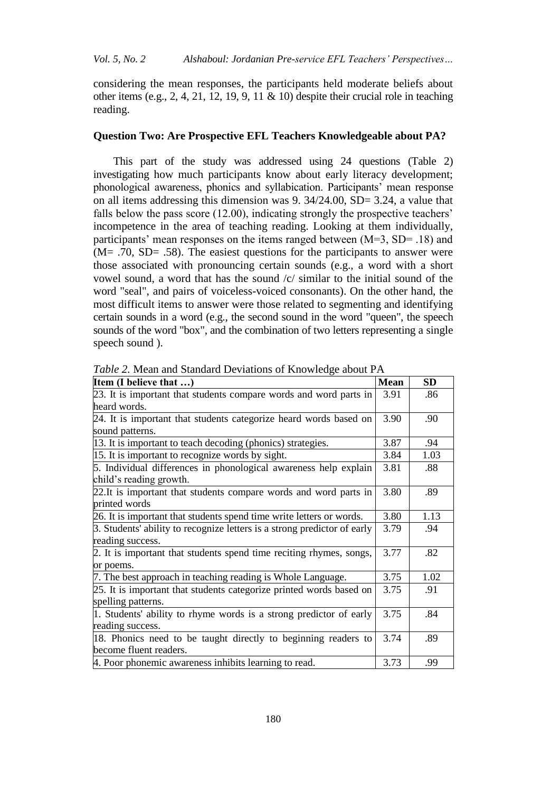considering the mean responses, the participants held moderate beliefs about other items (e.g., 2, 4, 21, 12, 19, 9, 11 & 10) despite their crucial role in teaching reading.

#### **Question Two: Are Prospective EFL Teachers Knowledgeable about PA?**

This part of the study was addressed using 24 questions (Table 2) investigating how much participants know about early literacy development; phonological awareness, phonics and syllabication. Participants' mean response on all items addressing this dimension was 9. 34/24.00, SD= 3.24, a value that falls below the pass score (12.00), indicating strongly the prospective teachers' incompetence in the area of teaching reading. Looking at them individually, participants' mean responses on the items ranged between (M=3, SD= .18) and  $(M= .70, SD= .58)$ . The easiest questions for the participants to answer were those associated with pronouncing certain sounds (e.g., a word with a short vowel sound, a word that has the sound /c/ similar to the initial sound of the word "seal", and pairs of voiceless-voiced consonants). On the other hand, the most difficult items to answer were those related to segmenting and identifying certain sounds in a word (e.g., the second sound in the word "queen", the speech sounds of the word "box", and the combination of two letters representing a single speech sound ).

| Item (I believe that )                                                   | <b>Mean</b> | <b>SD</b> |
|--------------------------------------------------------------------------|-------------|-----------|
| 23. It is important that students compare words and word parts in        | 3.91        | .86       |
| heard words.                                                             |             |           |
| 24. It is important that students categorize heard words based on        | 3.90        | .90       |
| sound patterns.                                                          |             |           |
| 13. It is important to teach decoding (phonics) strategies.              | 3.87        | .94       |
| 15. It is important to recognize words by sight.                         | 3.84        | 1.03      |
| 5. Individual differences in phonological awareness help explain         | 3.81        | .88       |
| child's reading growth.                                                  |             |           |
| 22. It is important that students compare words and word parts in        | 3.80        | .89       |
| printed words                                                            |             |           |
| 26. It is important that students spend time write letters or words.     | 3.80        | 1.13      |
| 3. Students' ability to recognize letters is a strong predictor of early | 3.79        | .94       |
| reading success.                                                         |             |           |
| 2. It is important that students spend time reciting rhymes, songs,      | 3.77        | .82       |
| or poems.                                                                |             |           |
| 7. The best approach in teaching reading is Whole Language.              | 3.75        | 1.02      |
| 25. It is important that students categorize printed words based on      | 3.75        | .91       |
| spelling patterns.                                                       |             |           |
| 1. Students' ability to rhyme words is a strong predictor of early       | 3.75        | .84       |
| reading success.                                                         |             |           |
| 18. Phonics need to be taught directly to beginning readers to           | 3.74        | .89       |
| become fluent readers.                                                   |             |           |
| 4. Poor phonemic awareness inhibits learning to read.                    | 3.73        | .99       |

*Table 2.* Mean and Standard Deviations of Knowledge about PA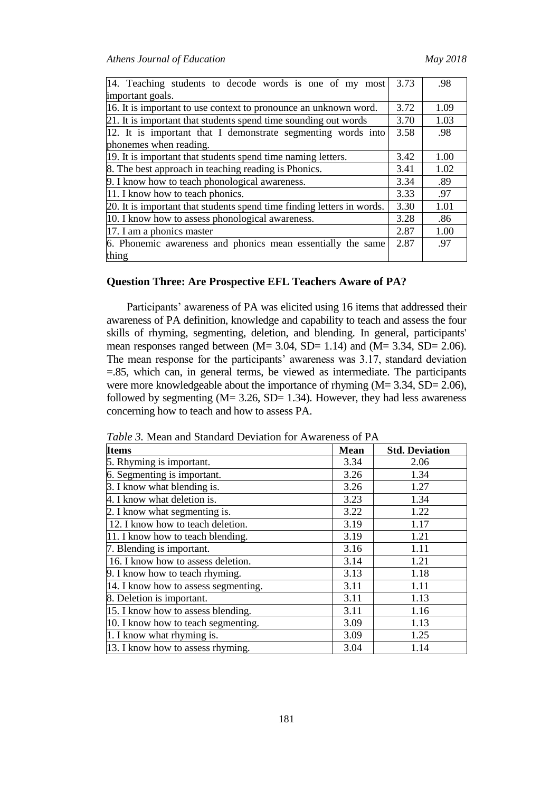| 14. Teaching students to decode words is one of my most                | 3.73 | .98  |
|------------------------------------------------------------------------|------|------|
| important goals.                                                       |      |      |
| 16. It is important to use context to pronounce an unknown word.       | 3.72 | 1.09 |
| 21. It is important that students spend time sounding out words        |      | 1.03 |
| 12. It is important that I demonstrate segmenting words into           | 3.58 | .98  |
| phonemes when reading.                                                 |      |      |
| 19. It is important that students spend time naming letters.           | 3.42 | 1.00 |
| 8. The best approach in teaching reading is Phonics.                   | 3.41 | 1.02 |
| 9. I know how to teach phonological awareness.                         | 3.34 | .89  |
| 11. I know how to teach phonics.                                       | 3.33 | .97  |
| 20. It is important that students spend time finding letters in words. | 3.30 | 1.01 |
| 10. I know how to assess phonological awareness.                       | 3.28 | .86  |
| 17. I am a phonics master                                              | 2.87 | 1.00 |
| 6. Phonemic awareness and phonics mean essentially the same            | 2.87 | .97  |
| thing                                                                  |      |      |

# **Question Three: Are Prospective EFL Teachers Aware of PA?**

Participants' awareness of PA was elicited using 16 items that addressed their awareness of PA definition, knowledge and capability to teach and assess the four skills of rhyming, segmenting, deletion, and blending. In general, participants' mean responses ranged between (M= 3.04, SD= 1.14) and (M= 3.34, SD= 2.06). The mean response for the participants' awareness was 3.17, standard deviation =.85, which can, in general terms, be viewed as intermediate. The participants were more knowledgeable about the importance of rhyming (M= 3.34, SD= 2.06), followed by segmenting  $(M= 3.26, SD= 1.34)$ . However, they had less awareness concerning how to teach and how to assess PA.

*Table 3.* Mean and Standard Deviation for Awareness of PA

| <b>Items</b>                         | <b>Mean</b> | <b>Std. Deviation</b> |
|--------------------------------------|-------------|-----------------------|
| 5. Rhyming is important.             | 3.34        | 2.06                  |
| 6. Segmenting is important.          | 3.26        | 1.34                  |
| 3. I know what blending is.          | 3.26        | 1.27                  |
| 4. I know what deletion is.          | 3.23        | 1.34                  |
| 2. I know what segmenting is.        | 3.22        | 1.22                  |
| 12. I know how to teach deletion.    | 3.19        | 1.17                  |
| 11. I know how to teach blending.    | 3.19        | 1.21                  |
| 7. Blending is important.            | 3.16        | 1.11                  |
| 16. I know how to assess deletion.   | 3.14        | 1.21                  |
| 9. I know how to teach rhyming.      | 3.13        | 1.18                  |
| 14. I know how to assess segmenting. | 3.11        | 1.11                  |
| 8. Deletion is important.            | 3.11        | 1.13                  |
| 15. I know how to assess blending.   | 3.11        | 1.16                  |
| 10. I know how to teach segmenting.  | 3.09        | 1.13                  |
| 1. I know what rhyming is.           | 3.09        | 1.25                  |
| 13. I know how to assess rhyming.    | 3.04        | 1.14                  |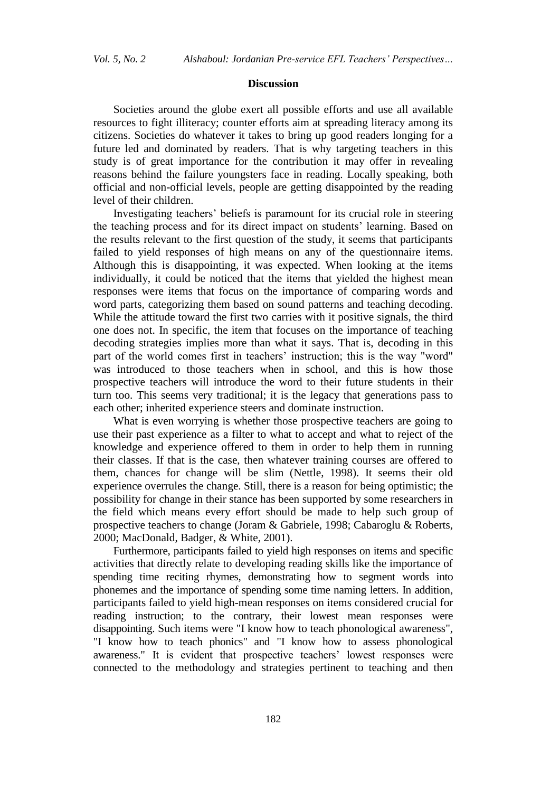#### **Discussion**

Societies around the globe exert all possible efforts and use all available resources to fight illiteracy; counter efforts aim at spreading literacy among its citizens. Societies do whatever it takes to bring up good readers longing for a future led and dominated by readers. That is why targeting teachers in this study is of great importance for the contribution it may offer in revealing reasons behind the failure youngsters face in reading. Locally speaking, both official and non-official levels, people are getting disappointed by the reading level of their children.

Investigating teachers' beliefs is paramount for its crucial role in steering the teaching process and for its direct impact on students' learning. Based on the results relevant to the first question of the study, it seems that participants failed to yield responses of high means on any of the questionnaire items. Although this is disappointing, it was expected. When looking at the items individually, it could be noticed that the items that yielded the highest mean responses were items that focus on the importance of comparing words and word parts, categorizing them based on sound patterns and teaching decoding. While the attitude toward the first two carries with it positive signals, the third one does not. In specific, the item that focuses on the importance of teaching decoding strategies implies more than what it says. That is, decoding in this part of the world comes first in teachers' instruction; this is the way "word" was introduced to those teachers when in school, and this is how those prospective teachers will introduce the word to their future students in their turn too. This seems very traditional; it is the legacy that generations pass to each other; inherited experience steers and dominate instruction.

What is even worrying is whether those prospective teachers are going to use their past experience as a filter to what to accept and what to reject of the knowledge and experience offered to them in order to help them in running their classes. If that is the case, then whatever training courses are offered to them, chances for change will be slim (Nettle, 1998). It seems their old experience overrules the change. Still, there is a reason for being optimistic; the possibility for change in their stance has been supported by some researchers in the field which means every effort should be made to help such group of prospective teachers to change (Joram & Gabriele, 1998; Cabaroglu & Roberts, 2000; MacDonald, Badger, & White, 2001).

Furthermore, participants failed to yield high responses on items and specific activities that directly relate to developing reading skills like the importance of spending time reciting rhymes, demonstrating how to segment words into phonemes and the importance of spending some time naming letters. In addition, participants failed to yield high-mean responses on items considered crucial for reading instruction; to the contrary, their lowest mean responses were disappointing. Such items were "I know how to teach phonological awareness", "I know how to teach phonics" and "I know how to assess phonological awareness." It is evident that prospective teachers' lowest responses were connected to the methodology and strategies pertinent to teaching and then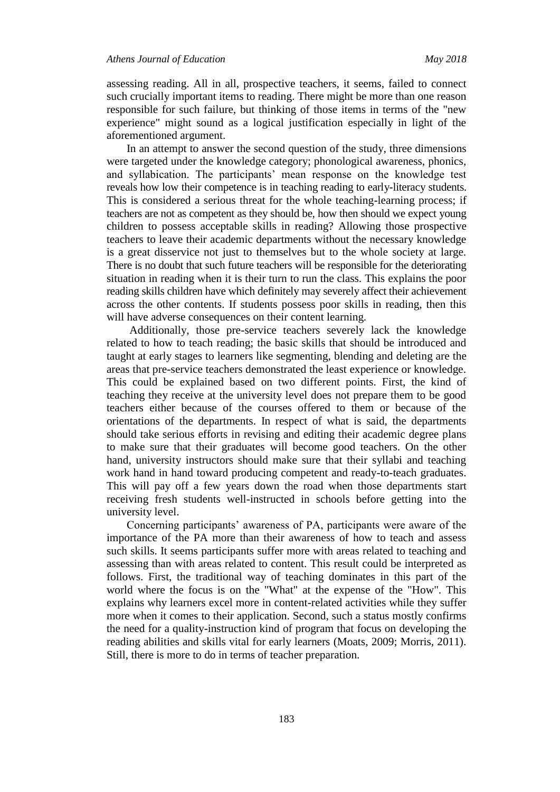assessing reading. All in all, prospective teachers, it seems, failed to connect such crucially important items to reading. There might be more than one reason responsible for such failure, but thinking of those items in terms of the "new experience" might sound as a logical justification especially in light of the aforementioned argument.

In an attempt to answer the second question of the study, three dimensions were targeted under the knowledge category; phonological awareness, phonics, and syllabication. The participants' mean response on the knowledge test reveals how low their competence is in teaching reading to early-literacy students. This is considered a serious threat for the whole teaching-learning process; if teachers are not as competent as they should be, how then should we expect young children to possess acceptable skills in reading? Allowing those prospective teachers to leave their academic departments without the necessary knowledge is a great disservice not just to themselves but to the whole society at large. There is no doubt that such future teachers will be responsible for the deteriorating situation in reading when it is their turn to run the class. This explains the poor reading skills children have which definitely may severely affect their achievement across the other contents. If students possess poor skills in reading, then this will have adverse consequences on their content learning.

Additionally, those pre-service teachers severely lack the knowledge related to how to teach reading; the basic skills that should be introduced and taught at early stages to learners like segmenting, blending and deleting are the areas that pre-service teachers demonstrated the least experience or knowledge. This could be explained based on two different points. First, the kind of teaching they receive at the university level does not prepare them to be good teachers either because of the courses offered to them or because of the orientations of the departments. In respect of what is said, the departments should take serious efforts in revising and editing their academic degree plans to make sure that their graduates will become good teachers. On the other hand, university instructors should make sure that their syllabi and teaching work hand in hand toward producing competent and ready-to-teach graduates. This will pay off a few years down the road when those departments start receiving fresh students well-instructed in schools before getting into the university level.

Concerning participants' awareness of PA, participants were aware of the importance of the PA more than their awareness of how to teach and assess such skills. It seems participants suffer more with areas related to teaching and assessing than with areas related to content. This result could be interpreted as follows. First, the traditional way of teaching dominates in this part of the world where the focus is on the "What" at the expense of the "How". This explains why learners excel more in content-related activities while they suffer more when it comes to their application. Second, such a status mostly confirms the need for a quality-instruction kind of program that focus on developing the reading abilities and skills vital for early learners (Moats, 2009; Morris, 2011). Still, there is more to do in terms of teacher preparation.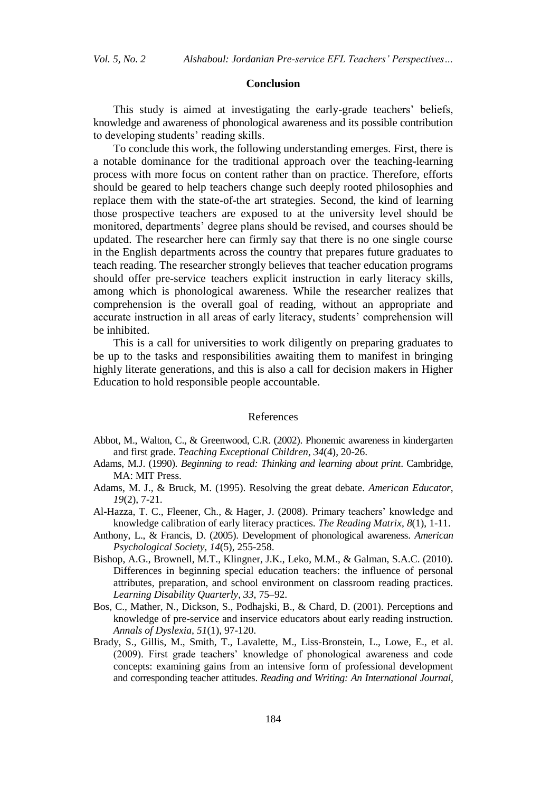#### **Conclusion**

This study is aimed at investigating the early-grade teachers' beliefs, knowledge and awareness of phonological awareness and its possible contribution to developing students' reading skills.

To conclude this work, the following understanding emerges. First, there is a notable dominance for the traditional approach over the teaching-learning process with more focus on content rather than on practice. Therefore, efforts should be geared to help teachers change such deeply rooted philosophies and replace them with the state-of-the art strategies. Second, the kind of learning those prospective teachers are exposed to at the university level should be monitored, departments' degree plans should be revised, and courses should be updated. The researcher here can firmly say that there is no one single course in the English departments across the country that prepares future graduates to teach reading. The researcher strongly believes that teacher education programs should offer pre-service teachers explicit instruction in early literacy skills, among which is phonological awareness. While the researcher realizes that comprehension is the overall goal of reading, without an appropriate and accurate instruction in all areas of early literacy, students' comprehension will be inhibited.

This is a call for universities to work diligently on preparing graduates to be up to the tasks and responsibilities awaiting them to manifest in bringing highly literate generations, and this is also a call for decision makers in Higher Education to hold responsible people accountable.

#### References

- Abbot, M., Walton, C., & Greenwood, C.R. (2002). Phonemic awareness in kindergarten and first grade. *Teaching Exceptional Children*, *34*(4), 20-26.
- Adams, M.J. (1990). *Beginning to read: Thinking and learning about print*. Cambridge, MA: MIT Press.
- Adams, M. J., & Bruck, M. (1995). Resolving the great debate. *American Educator*, *19*(2), 7-21.
- Al-Hazza, T. C., Fleener, Ch., & Hager, J. (2008). Primary teachers' knowledge and knowledge calibration of early literacy practices. *The Reading Matrix*, *8*(1), 1-11.
- Anthony, L., & Francis, D. (2005). Development of phonological awareness. *American Psychological Society, 14*(5), 255-258.
- Bishop, A.G., Brownell, M.T., Klingner, J.K., Leko, M.M., & Galman, S.A.C. (2010). Differences in beginning special education teachers: the influence of personal attributes, preparation, and school environment on classroom reading practices. *Learning Disability Quarterly*, *33*, 75–92.
- Bos, C., Mather, N., Dickson, S., Podhajski, B., & Chard, D. (2001). Perceptions and knowledge of pre-service and inservice educators about early reading instruction. *Annals of Dyslexia*, *51*(1), 97-120.
- Brady, S., Gillis, M., Smith, T., Lavalette, M., Liss-Bronstein, L., Lowe, E., et al. (2009). First grade teachers' knowledge of phonological awareness and code concepts: examining gains from an intensive form of professional development and corresponding teacher attitudes. *Reading and Writing: An International Journal*,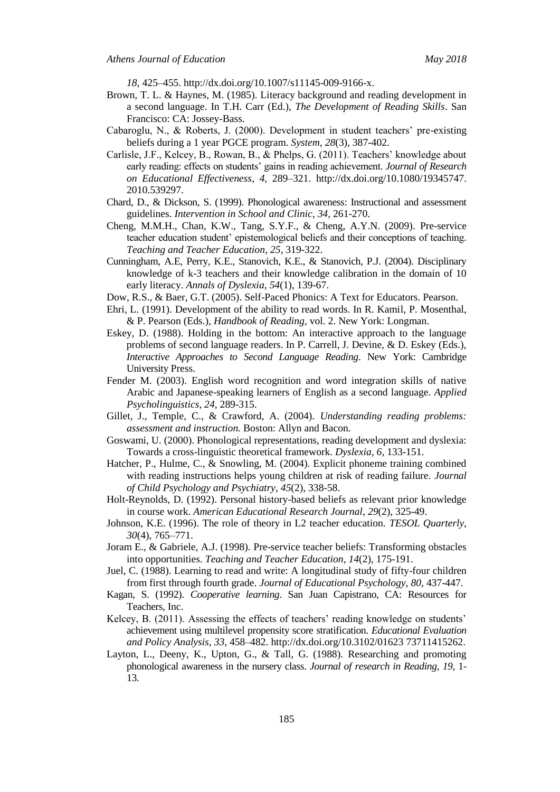*18*, 425–455. http://dx.doi.org/10.1007/s11145-009-9166-x.

- Brown, T. L. & Haynes, M. (1985). Literacy background and reading development in a second language. In T.H. Carr (Ed.), *The Development of Reading Skills*. San Francisco: CA: Jossey-Bass.
- Cabaroglu, N., & Roberts, J. (2000). Development in student teachers' pre-existing beliefs during a 1 year PGCE program. *System*, *28*(3), 387-402.
- Carlisle, J.F., Kelcey, B., Rowan, B., & Phelps, G. (2011). Teachers' knowledge about early reading: effects on students' gains in reading achievement. *Journal of Research on Educational Effectiveness*, *4*, 289–321. http://dx.doi.org/10.1080/19345747. 2010.539297.
- Chard, D., & Dickson, S. (1999). Phonological awareness: Instructional and assessment guidelines. *Intervention in School and Clinic*, *34*, 261-270.
- Cheng, M.M.H., Chan, K.W., Tang, S.Y.F., & Cheng, A.Y.N. (2009). Pre-service teacher education student' epistemological beliefs and their conceptions of teaching. *Teaching and Teacher Education*, *25*, 319-322.
- Cunningham, A.E, Perry, K.E., Stanovich, K.E., & Stanovich, P.J. (2004). Disciplinary knowledge of k-3 teachers and their knowledge calibration in the domain of 10 early literacy. *Annals of Dyslexia*, *54*(1), 139-67.
- Dow, R.S., & Baer, G.T. (2005). Self-Paced Phonics: A Text for Educators. Pearson.
- Ehri, L. (1991). Development of the ability to read words. In R. Kamil, P. Mosenthal, & P. Pearson (Eds.), *Handbook of Reading*, vol. 2. New York: Longman.
- Eskey, D. (1988). Holding in the bottom: An interactive approach to the language problems of second language readers. In P. Carrell, J. Devine, & D. Eskey (Eds.), *Interactive Approaches to Second Language Reading*. New York: Cambridge University Press.
- Fender M. (2003). English word recognition and word integration skills of native Arabic and Japanese-speaking learners of English as a second language. *Applied Psycholinguistics*, *24*, 289-315.
- Gillet, J., Temple, C., & Crawford, A. (2004). *Understanding reading problems: assessment and instruction.* Boston: Allyn and Bacon.
- Goswami, U. (2000). Phonological representations, reading development and dyslexia: Towards a cross-linguistic theoretical framework. *Dyslexia*, *6*, 133-151.
- Hatcher, P., Hulme, C., & Snowling, M. (2004). Explicit phoneme training combined with reading instructions helps young children at risk of reading failure. *Journal of Child Psychology and Psychiatry*, *45*(2), 338-58.
- Holt-Reynolds, D. (1992). Personal history-based beliefs as relevant prior knowledge in course work. *American Educational Research Journal*, *29*(2), 325-49.
- Johnson, K.E. (1996). The role of theory in L2 teacher education. *TESOL Quarterly*, *30*(4), 765–771.
- Joram E., & Gabriele, A.J. (1998). Pre-service teacher beliefs: Transforming obstacles into opportunities. *Teaching and Teacher Education*, *14*(2), 175-191.
- Juel, C. (1988). Learning to read and write: A longitudinal study of fifty-four children from first through fourth grade. *Journal of Educational Psychology*, *80*, 437-447.
- Kagan, S. (1992). *Cooperative learning*. San Juan Capistrano, CA: Resources for Teachers, Inc.
- Kelcey, B. (2011). Assessing the effects of teachers' reading knowledge on students' achievement using multilevel propensity score stratification. *Educational Evaluation and Policy Analysis*, *33*, 458–482. http://dx.doi.org/10.3102/01623 73711415262.
- Layton, L., Deeny, K., Upton, G., & Tall, G. (1988). Researching and promoting phonological awareness in the nursery class. *Journal of research in Reading*, *19*, 1- 13.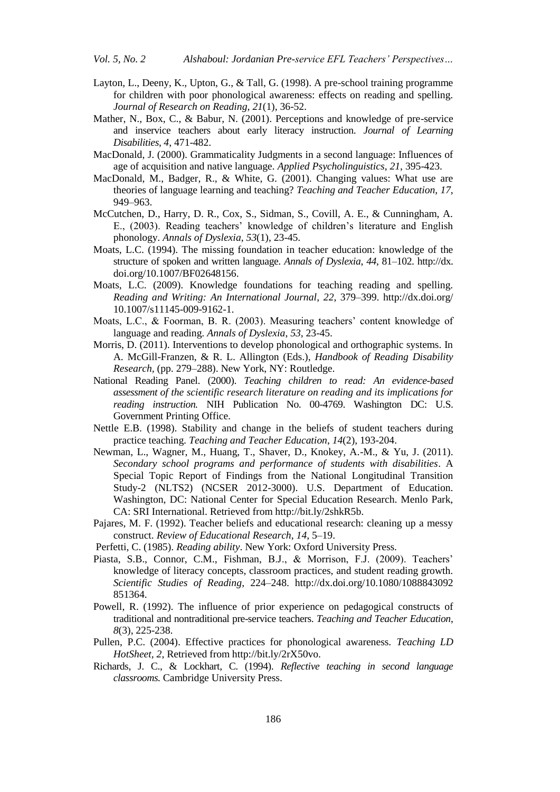- Layton, L., Deeny, K., Upton, G., & Tall, G. (1998). A pre-school training programme for children with poor phonological awareness: effects on reading and spelling. *Journal of Research on Reading*, *21*(1), 36-52.
- Mather, N., Box, C., & Babur, N. (2001). Perceptions and knowledge of pre-service and inservice teachers about early literacy instruction. *Journal of Learning Disabilities*, *4*, 471-482.
- MacDonald, J. (2000). Grammaticality Judgments in a second language: Influences of age of acquisition and native language. *Applied Psycholinguistics*, *21*, 395-423.
- MacDonald, M., Badger, R., & White, G. (2001). Changing values: What use are theories of language learning and teaching? *Teaching and Teacher Education*, *17*, 949–963.
- McCutchen, D., Harry, D. R., Cox, S., Sidman, S., Covill, A. E., & Cunningham, A. E., (2003). Reading teachers' knowledge of children's literature and English phonology. *Annals of Dyslexia*, *53*(1), 23-45.
- Moats, L.C. (1994). The missing foundation in teacher education: knowledge of the structure of spoken and written language. *Annals of Dyslexia*, *44*, 81–102. http://dx. doi.org/10.1007/BF02648156.
- Moats, L.C. (2009). Knowledge foundations for teaching reading and spelling. *Reading and Writing: An International Journal*, *22*, 379–399. http://dx.doi.org/ 10.1007/s11145-009-9162-1.
- Moats, L.C., & Foorman, B. R. (2003). Measuring teachers' content knowledge of language and reading. *Annals of Dyslexia*, *53*, 23-45.
- Morris, D. (2011). Interventions to develop phonological and orthographic systems. In A. McGill-Franzen, & R. L. Allington (Eds.), *Handbook of Reading Disability Research,* (pp. 279–288). New York, NY: Routledge.
- National Reading Panel. (2000). *Teaching children to read: An evidence-based assessment of the scientific research literature on reading and its implications for reading instruction.* NIH Publication No. 00-4769. Washington DC: U.S. Government Printing Office.
- Nettle E.B. (1998). Stability and change in the beliefs of student teachers during practice teaching. *Teaching and Teacher Education*, *14*(2), 193-204.
- Newman, L., Wagner, M., Huang, T., Shaver, D., Knokey, A.-M., & Yu, J. (2011). *Secondary school programs and performance of students with disabilities*. A Special Topic Report of Findings from the National Longitudinal Transition Study-2 (NLTS2) (NCSER 2012-3000). U.S. Department of Education. Washington, DC: National Center for Special Education Research. Menlo Park, CA: SRI International. Retrieved from http://bit.ly/2shkR5b.
- Pajares, M. F. (1992). Teacher beliefs and educational research: cleaning up a messy construct. *Review of Educational Research*, *14*, 5–19.
- Perfetti, C. (1985). *Reading ability*. New York: Oxford University Press.
- Piasta, S.B., Connor, C.M., Fishman, B.J., & Morrison, F.J. (2009). Teachers' knowledge of literacy concepts, classroom practices, and student reading growth. *Scientific Studies of Reading*, 224–248. http://dx.doi.org/10.1080/1088843092 851364.
- Powell, R. (1992). The influence of prior experience on pedagogical constructs of traditional and nontraditional pre-service teachers. *Teaching and Teacher Education*, *8*(3), 225-238.
- Pullen, P.C. (2004). Effective practices for phonological awareness. *Teaching LD HotSheet, 2*, Retrieved from http://bit.ly/2rX50vo.
- Richards, J. C., & Lockhart, C. (1994). *Reflective teaching in second language classrooms.* Cambridge University Press.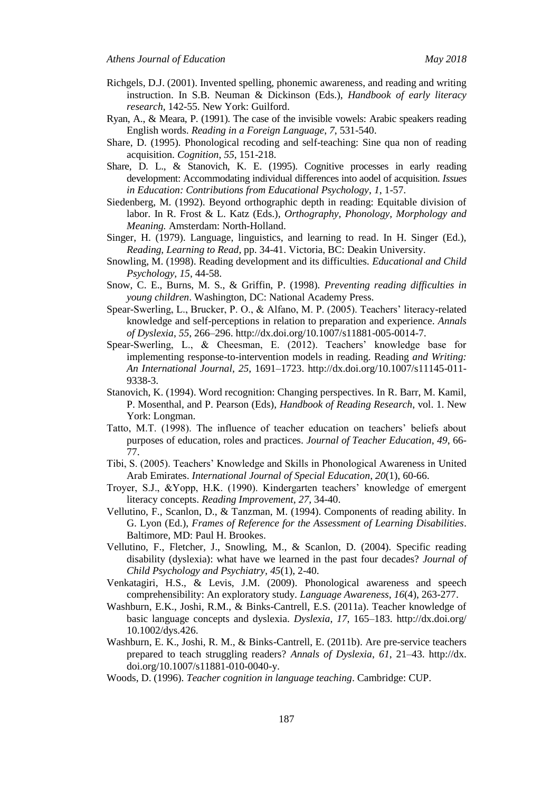- Richgels, D.J. (2001). Invented spelling, phonemic awareness, and reading and writing instruction. In S.B. Neuman & Dickinson (Eds.), *Handbook of early literacy research*, 142-55. New York: Guilford.
- Ryan, A., & Meara, P. (1991). The case of the invisible vowels: Arabic speakers reading English words. *Reading in a Foreign Language*, *7*, 531-540.
- Share, D. (1995). Phonological recoding and self-teaching: Sine qua non of reading acquisition. *Cognition*, *55*, 151-218.
- Share, D. L., & Stanovich, K. E. (1995). Cognitive processes in early reading development: Accommodating individual differences into aodel of acquisition. *Issues in Education: Contributions from Educational Psychology*, *1*, 1-57.
- Siedenberg, M. (1992). Beyond orthographic depth in reading: Equitable division of labor. In R. Frost & L. Katz (Eds.), *Orthography, Phonology, Morphology and Meaning.* Amsterdam: North-Holland.
- Singer, H. (1979). Language, linguistics, and learning to read. In H. Singer (Ed.), *Reading, Learning to Read*, pp. 34-41. Victoria, BC: Deakin University.
- Snowling, M. (1998). Reading development and its difficulties. *Educational and Child Psychology, 15*, 44-58.
- Snow, C. E., Burns, M. S., & Griffin, P. (1998). *Preventing reading difficulties in young children*. Washington, DC: National Academy Press.
- Spear-Swerling, L., Brucker, P. O., & Alfano, M. P. (2005). Teachers' literacy-related knowledge and self-perceptions in relation to preparation and experience. *Annals of Dyslexia*, *55*, 266–296. http://dx.doi.org/10.1007/s11881-005-0014-7.
- Spear-Swerling, L., & Cheesman, E. (2012). Teachers' knowledge base for implementing response-to-intervention models in reading. Reading *and Writing: An International Journal*, *25*, 1691–1723. http://dx.doi.org/10.1007/s11145-011- 9338-3.
- Stanovich, K. (1994). Word recognition: Changing perspectives. In R. Barr, M. Kamil, P. Mosenthal, and P. Pearson (Eds), *Handbook of Reading Research*, vol. 1. New York: Longman.
- Tatto, M.T. (1998). The influence of teacher education on teachers' beliefs about purposes of education, roles and practices. *Journal of Teacher Education*, *49*, 66- 77.
- Tibi, S. (2005). Teachers' Knowledge and Skills in Phonological Awareness in United Arab Emirates. *International Journal of Special Education*, *20*(1), 60-66.
- Troyer, S.J., &Yopp, H.K. (1990). Kindergarten teachers' knowledge of emergent literacy concepts. *Reading Improvement*, *27*, 34-40.
- Vellutino, F., Scanlon, D., & Tanzman, M. (1994). Components of reading ability. In G. Lyon (Ed.), *Frames of Reference for the Assessment of Learning Disabilities*. Baltimore, MD: Paul H. Brookes.
- Vellutino, F., Fletcher, J., Snowling, M., & Scanlon, D. (2004). Specific reading disability (dyslexia): what have we learned in the past four decades? *Journal of Child Psychology and Psychiatry, 45*(1), 2-40.
- Venkatagiri, H.S., & Levis, J.M. (2009). Phonological awareness and speech comprehensibility: An exploratory study. *Language Awareness*, *16*(4), 263-277.
- Washburn, E.K., Joshi, R.M., & Binks-Cantrell, E.S. (2011a). Teacher knowledge of basic language concepts and dyslexia. *Dyslexia*, *17*, 165–183. http://dx.doi.org/ 10.1002/dys.426.
- Washburn, E. K., Joshi, R. M., & Binks-Cantrell, E. (2011b). Are pre-service teachers prepared to teach struggling readers? *Annals of Dyslexia*, *61*, 21–43. http://dx. doi.org/10.1007/s11881-010-0040-y.
- Woods, D. (1996). *Teacher cognition in language teaching*. Cambridge: CUP.